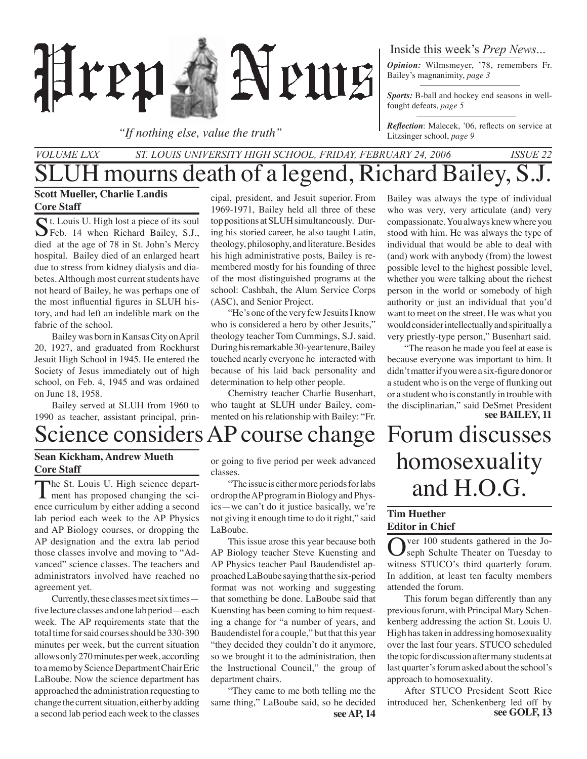

*"If nothing else, value the truth"*

### Inside this week's *Prep News*...

*Opinion:* Wilmsmeyer, '78, remembers Fr. Bailey's magnanimity, *page 3*

*Sports:* B-ball and hockey end seasons in wellfought defeats, *page 5*

*Reflection*: Malecek, '06, reflects on service at Litzsinger school, *page 9*

### JH mourns death of a legend, Richard Bailey, S.J. *Volume LXX St. Louis University High School, Friday, February 24, 2006 Issue 22*

#### **Scott Mueller, Charlie Landis Core Staff**

 $\bigcap$  t. Louis U. High lost a piece of its soul Feb. 14 when Richard Bailey, S.J., died at the age of 78 in St. John's Mercy hospital. Bailey died of an enlarged heart due to stress from kidney dialysis and diabetes. Although most current students have not heard of Bailey, he was perhaps one of the most influential figures in SLUH history, and had left an indelible mark on the fabric of the school.

Bailey was born in Kansas City on April 20, 1927, and graduated from Rockhurst Jesuit High School in 1945. He entered the Society of Jesus immediately out of high school, on Feb. 4, 1945 and was ordained on June 18, 1958.

Bailey served at SLUH from 1960 to 1990 as teacher, assistant principal, prin-

### Science considers AP course change Forum discusses

### **Sean Kickham, Andrew Mueth Core Staff**

The St. Louis U. High science depart- $\blacksquare$  ment has proposed changing the science curriculum by either adding a second lab period each week to the AP Physics and AP Biology courses, or dropping the AP designation and the extra lab period those classes involve and moving to "Advanced" science classes. The teachers and administrators involved have reached no agreement yet.

Currently, these classes meet six times five lecture classes and one lab period—each week. The AP requirements state that the total time for said courses should be 330-390 minutes per week, but the current situation allows only 270 minutes per week, according to a memo by Science Department Chair Eric LaBoube. Now the science department has approached the administration requesting to change the current situation, either by adding a second lab period each week to the classes

cipal, president, and Jesuit superior. From 1969-1971, Bailey held all three of these top positions at SLUH simultaneously. During his storied career, he also taught Latin, theology, philosophy, and literature. Besides his high administrative posts, Bailey is remembered mostly for his founding of three of the most distinguished programs at the school: Cashbah, the Alum Service Corps (ASC), and Senior Project.

"He's one of the very few Jesuits I know who is considered a hero by other Jesuits," theology teacher Tom Cummings, S.J. said. During his remarkable 30-year tenure, Bailey touched nearly everyone he interacted with because of his laid back personality and determination to help other people.

Chemistry teacher Charlie Busenhart, who taught at SLUH under Bailey, commented on his relationship with Bailey: "Fr.

or going to five period per week advanced classes.

"The issue is either more periods for labs or drop the AP program in Biology and Physics—we can't do it justice basically, we're not giving it enough time to do it right," said LaBoube.

This issue arose this year because both AP Biology teacher Steve Kuensting and AP Physics teacher Paul Baudendistel approached LaBoube saying that the six-period format was not working and suggesting that something be done. LaBoube said that Kuensting has been coming to him requesting a change for "a number of years, and Baudendistel for a couple," but that this year "they decided they couldn't do it anymore, so we brought it to the administration, then the Instructional Council," the group of department chairs.

**see AP, 14** "They came to me both telling me the same thing," LaBoube said, so he decided

Bailey was always the type of individual who was very, very articulate (and) very compassionate. You always knew where you stood with him. He was always the type of individual that would be able to deal with (and) work with anybody (from) the lowest possible level to the highest possible level, whether you were talking about the richest person in the world or somebody of high authority or just an individual that you'd want to meet on the street. He was what you would consider intellectually and spiritually a very priestly-type person," Busenhart said.

**see BAILEY, 11** "The reason he made you feel at ease is because everyone was important to him. It didn't matter if you were a six-figure donor or a student who is on the verge of flunking out or a student who is constantly in trouble with the disciplinarian," said DeSmet President

# homosexuality and H.O.G.

### **Tim Huether Editor in Chief**

Over 100 students gathered in the Jo-<br>
Seph Schulte Theater on Tuesday to witness STUCO's third quarterly forum. In addition, at least ten faculty members attended the forum.

This forum began differently than any previous forum, with Principal Mary Schenkenberg addressing the action St. Louis U. High has taken in addressing homosexuality over the last four years. STUCO scheduled the topic for discussion after many students at last quarter's forum asked about the school's approach to homosexuality.

**see GOLF, 13** After STUCO President Scott Rice introduced her, Schenkenberg led off by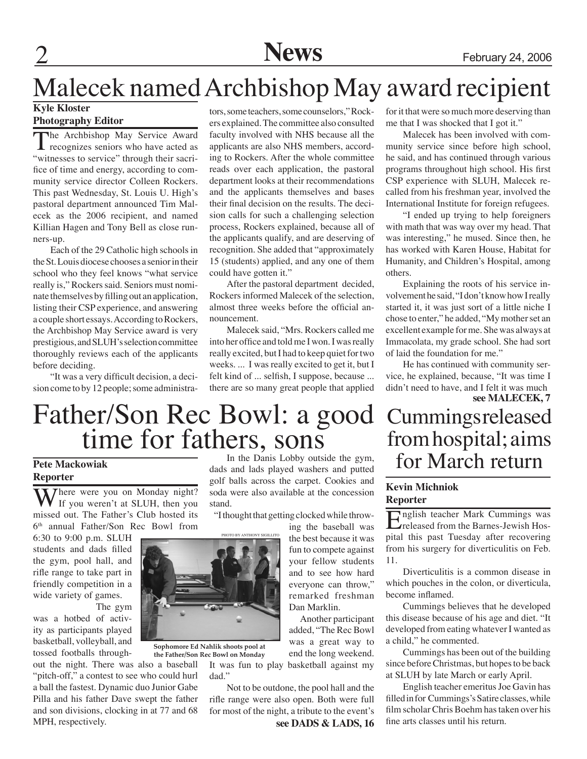### 2 **News** February 24, 2006

### Malecek named Archbishop May award recipient

### **Kyle Kloster**

### **Photography Editor**

The Archbishop May Service Award<br>recognizes seniors who have acted as "witnesses to service" through their sacrifice of time and energy, according to community service director Colleen Rockers. This past Wednesday, St. Louis U. High's pastoral department announced Tim Malecek as the 2006 recipient, and named Killian Hagen and Tony Bell as close runners-up.

Each of the 29 Catholic high schools in the St. Louis diocese chooses a senior in their school who they feel knows "what service really is," Rockers said. Seniors must nominate themselves by filling out an application, listing their CSP experience, and answering a couple short essays. According to Rockers, the Archbishop May Service award is very prestigious, and SLUH's selection committee thoroughly reviews each of the applicants before deciding.

"It was a very difficult decision, a decision come to by 12 people; some administrators, some teachers, some counselors," Rockers explained. The committee also consulted faculty involved with NHS because all the applicants are also NHS members, according to Rockers. After the whole committee reads over each application, the pastoral department looks at their recommendations and the applicants themselves and bases their final decision on the results. The decision calls for such a challenging selection process, Rockers explained, because all of the applicants qualify, and are deserving of recognition. She added that "approximately 15 (students) applied, and any one of them could have gotten it."

After the pastoral department decided, Rockers informed Malecek of the selection, almost three weeks before the official announcement.

Malecek said, "Mrs. Rockers called me into her office and told me I won. I was really really excited, but I had to keep quiet for two weeks. ... I was really excited to get it, but I felt kind of ... selfish, I suppose, because ... there are so many great people that applied for it that were so much more deserving than me that I was shocked that I got it."

Malecek has been involved with community service since before high school, he said, and has continued through various programs throughout high school. His first CSP experience with SLUH, Malecek recalled from his freshman year, involved the International Institute for foreign refugees.

"I ended up trying to help foreigners with math that was way over my head. That was interesting," he mused. Since then, he has worked with Karen House, Habitat for Humanity, and Children's Hospital, among others.

Explaining the roots of his service involvement he said, "I don't know how I really started it, it was just sort of a little niche I chose to enter," he added, "My mother set an excellent example for me. She was always at Immacolata, my grade school. She had sort of laid the foundation for me."

He has continued with community service, he explained, because, "It was time I didn't need to have, and I felt it was much **see MALECEK, 7**

### **Cummings released** from hospital; aims for March return

### **Kevin Michniok Reporter**

English teacher Mark Cummings was released from the Barnes-Jewish Hospital this past Tuesday after recovering from his surgery for diverticulitis on Feb. 11.

Diverticulitis is a common disease in which pouches in the colon, or diverticula, become inflamed.

Cummings believes that he developed this disease because of his age and diet. "It developed from eating whatever I wanted as a child," he commented.

Cummings has been out of the building since before Christmas, but hopes to be back at SLUH by late March or early April.

English teacher emeritus Joe Gavin has filled in for Cummings's Satire classes, while film scholar Chris Boehm has taken over his fine arts classes until his return.

# Father/Son Rec Bowl: a good<br>time for fathers, sons

### **Pete Mackowiak Reporter**

Where were you on Monday night? If you weren't at SLUH, then you missed out. The Father's Club hosted its 6th annual Father/Son Rec Bowl from

6:30 to 9:00 p.m. SLUH students and dads filled the gym, pool hall, and rifle range to take part in friendly competition in a wide variety of games.

The gym

was a hotbed of activity as participants played basketball, volleyball, and tossed footballs through-

out the night. There was also a baseball "pitch-off," a contest to see who could hurl a ball the fastest. Dynamic duo Junior Gabe Pilla and his father Dave swept the father and son divisions, clocking in at 77 and 68 MPH, respectively.

In the Danis Lobby outside the gym, dads and lads played washers and putted golf balls across the carpet. Cookies and soda were also available at the concession stand.

"I thought that getting clocked while throw-

ing the baseball was the best because it was fun to compete against your fellow students and to see how hard everyone can throw," remarked freshman Dan Marklin.

 Another participant added, "The Rec Bowl was a great way to end the long weekend. It was fun to play basketball against my

dad." Not to be outdone, the pool hall and the rifle range were also open. Both were full for most of the night, a tribute to the event's

**see DADS & LADS, 16**



**Sophomore Ed Nahlik shoots pool at the Father/Son Rec Bowl on Monday**

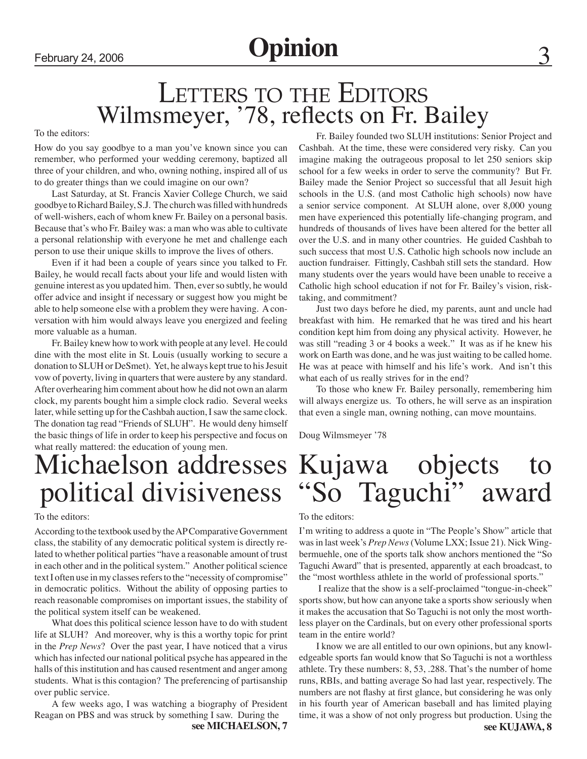### LETTERS TO THE EDITORS Wilmsmeyer, '78, reflects on Fr. Bailey

To the editors:

How do you say goodbye to a man you've known since you can remember, who performed your wedding ceremony, baptized all three of your children, and who, owning nothing, inspired all of us to do greater things than we could imagine on our own?

Last Saturday, at St. Francis Xavier College Church, we said goodbye to Richard Bailey, S.J. The church was filled with hundreds of well-wishers, each of whom knew Fr. Bailey on a personal basis. Because that's who Fr. Bailey was: a man who was able to cultivate a personal relationship with everyone he met and challenge each person to use their unique skills to improve the lives of others.

Even if it had been a couple of years since you talked to Fr. Bailey, he would recall facts about your life and would listen with genuine interest as you updated him. Then, ever so subtly, he would offer advice and insight if necessary or suggest how you might be able to help someone else with a problem they were having. A conversation with him would always leave you energized and feeling more valuable as a human.

Fr. Bailey knew how to work with people at any level. He could dine with the most elite in St. Louis (usually working to secure a donation to SLUH or DeSmet). Yet, he always kept true to his Jesuit vow of poverty, living in quarters that were austere by any standard. After overhearing him comment about how he did not own an alarm clock, my parents bought him a simple clock radio. Several weeks later, while setting up for the Cashbah auction, I saw the same clock. The donation tag read "Friends of SLUH". He would deny himself the basic things of life in order to keep his perspective and focus on what really mattered: the education of young men.

### Michaelson addresses political divisiveness

#### To the editors:

According to the textbook used by the AP Comparative Government class, the stability of any democratic political system is directly related to whether political parties "have a reasonable amount of trust in each other and in the political system." Another political science text I often use in my classes refers to the "necessity of compromise" in democratic politics. Without the ability of opposing parties to reach reasonable compromises on important issues, the stability of the political system itself can be weakened.

What does this political science lesson have to do with student life at SLUH? And moreover, why is this a worthy topic for print in the *Prep News*? Over the past year, I have noticed that a virus which has infected our national political psyche has appeared in the halls of this institution and has caused resentment and anger among students. What is this contagion? The preferencing of partisanship over public service.

A few weeks ago, I was watching a biography of President Reagan on PBS and was struck by something I saw. During the

**see MICHAELSON, 7**

Fr. Bailey founded two SLUH institutions: Senior Project and Cashbah. At the time, these were considered very risky. Can you imagine making the outrageous proposal to let 250 seniors skip school for a few weeks in order to serve the community? But Fr. Bailey made the Senior Project so successful that all Jesuit high schools in the U.S. (and most Catholic high schools) now have a senior service component. At SLUH alone, over 8,000 young men have experienced this potentially life-changing program, and hundreds of thousands of lives have been altered for the better all over the U.S. and in many other countries. He guided Cashbah to such success that most U.S. Catholic high schools now include an auction fundraiser. Fittingly, Cashbah still sets the standard. How many students over the years would have been unable to receive a Catholic high school education if not for Fr. Bailey's vision, risktaking, and commitment?

Just two days before he died, my parents, aunt and uncle had breakfast with him. He remarked that he was tired and his heart condition kept him from doing any physical activity. However, he was still "reading 3 or 4 books a week." It was as if he knew his work on Earth was done, and he was just waiting to be called home. He was at peace with himself and his life's work. And isn't this what each of us really strives for in the end?

To those who knew Fr. Bailey personally, remembering him will always energize us. To others, he will serve as an inspiration that even a single man, owning nothing, can move mountains.

Doug Wilmsmeyer '78

### Kujawa objects to "So Taguchi" award

#### To the editors:

I'm writing to address a quote in "The People's Show" article that was in last week's *Prep News* (Volume LXX; Issue 21). Nick Wingbermuehle, one of the sports talk show anchors mentioned the "So Taguchi Award" that is presented, apparently at each broadcast, to the "most worthless athlete in the world of professional sports."

 I realize that the show is a self-proclaimed "tongue-in-cheek" sports show, but how can anyone take a sports show seriously when it makes the accusation that So Taguchi is not only the most worthless player on the Cardinals, but on every other professional sports team in the entire world?

I know we are all entitled to our own opinions, but any knowledgeable sports fan would know that So Taguchi is not a worthless athlete. Try these numbers: 8, 53, .288. That's the number of home runs, RBIs, and batting average So had last year, respectively. The numbers are not flashy at first glance, but considering he was only in his fourth year of American baseball and has limited playing time, it was a show of not only progress but production. Using the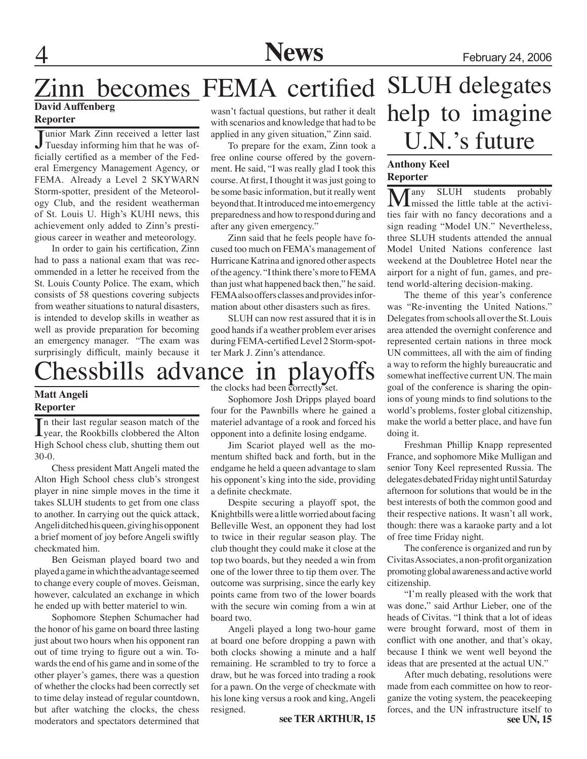### Zinn becomes FEMA certified **David Auffenberg**

### **Reporter**

Junior Mark Zinn received a letter last<br>Tuesday informing him that he was ofunior Mark Zinn received a letter last ficially certified as a member of the Federal Emergency Management Agency, or FEMA. Already a Level 2 SKYWARN Storm-spotter, president of the Meteorology Club, and the resident weatherman of St. Louis U. High's KUHI news, this achievement only added to Zinn's prestigious career in weather and meteorology.

In order to gain his certification, Zinn had to pass a national exam that was recommended in a letter he received from the St. Louis County Police. The exam, which consists of 58 questions covering subjects from weather situations to natural disasters, is intended to develop skills in weather as well as provide preparation for becoming an emergency manager. "The exam was surprisingly difficult, mainly because it

hessbills advance in playoffs

### **Matt Angeli Reporter**

In their last regular season match of the<br>year, the Rookbills clobbered the Alton year, the Rookbills clobbered the Alton High School chess club, shutting them out 30-0.

Chess president Matt Angeli mated the Alton High School chess club's strongest player in nine simple moves in the time it takes SLUH students to get from one class to another. In carrying out the quick attack, Angeli ditched his queen, giving his opponent a brief moment of joy before Angeli swiftly checkmated him.

Ben Geisman played board two and played a game in which the advantage seemed to change every couple of moves. Geisman, however, calculated an exchange in which he ended up with better materiel to win.

Sophomore Stephen Schumacher had the honor of his game on board three lasting just about two hours when his opponent ran out of time trying to figure out a win. Towards the end of his game and in some of the other player's games, there was a question of whether the clocks had been correctly set to time delay instead of regular countdown, but after watching the clocks, the chess moderators and spectators determined that

wasn't factual questions, but rather it dealt with scenarios and knowledge that had to be applied in any given situation," Zinn said.

To prepare for the exam, Zinn took a free online course offered by the government. He said, "I was really glad I took this course. At first, I thought it was just going to be some basic information, but it really went beyond that. It introduced me into emergency preparedness and how to respond during and after any given emergency."

Zinn said that he feels people have focused too much on FEMA's management of Hurricane Katrina and ignored other aspects of the agency. "I think there's more to FEMA than just what happened back then," he said. FEMA also offers classes and provides information about other disasters such as fires.

SLUH can now rest assured that it is in good hands if a weather problem ever arises during FEMA-certified Level 2 Storm-spotter Mark J. Zinn's attendance.

the clocks had been correctly set.

Sophomore Josh Dripps played board four for the Pawnbills where he gained a materiel advantage of a rook and forced his opponent into a definite losing endgame.

Jim Scariot played well as the momentum shifted back and forth, but in the endgame he held a queen advantage to slam his opponent's king into the side, providing a definite checkmate.

Despite securing a playoff spot, the Knightbills were a little worried about facing Belleville West, an opponent they had lost to twice in their regular season play. The club thought they could make it close at the top two boards, but they needed a win from one of the lower three to tip them over. The outcome was surprising, since the early key points came from two of the lower boards with the secure win coming from a win at board two.

Angeli played a long two-hour game at board one before dropping a pawn with both clocks showing a minute and a half remaining. He scrambled to try to force a draw, but he was forced into trading a rook for a pawn. On the verge of checkmate with his lone king versus a rook and king, Angeli resigned. **see TER ARTHUR, 15**

### SLUH delegates help to imagine U.N.'s future

#### **Anthony Keel Reporter**

**Many** SLUH students probably<br>missed the little table at the activities fair with no fancy decorations and a sign reading "Model UN." Nevertheless, three SLUH students attended the annual Model United Nations conference last weekend at the Doubletree Hotel near the airport for a night of fun, games, and pretend world-altering decision-making.

The theme of this year's conference was "Re-inventing the United Nations." Delegates from schools all over the St. Louis area attended the overnight conference and represented certain nations in three mock UN committees, all with the aim of finding a way to reform the highly bureaucratic and somewhat ineffective current UN. The main goal of the conference is sharing the opinions of young minds to find solutions to the world's problems, foster global citizenship, make the world a better place, and have fun doing it.

Freshman Phillip Knapp represented France, and sophomore Mike Mulligan and senior Tony Keel represented Russia. The delegates debated Friday night until Saturday afternoon for solutions that would be in the best interests of both the common good and their respective nations. It wasn't all work, though: there was a karaoke party and a lot of free time Friday night.

The conference is organized and run by Civitas Associates, a non-profit organization promoting global awareness and active world citizenship.

"I'm really pleased with the work that was done," said Arthur Lieber, one of the heads of Civitas. "I think that a lot of ideas were brought forward, most of them in conflict with one another, and that's okay, because I think we went well beyond the ideas that are presented at the actual UN."

**see UN, 15** After much debating, resolutions were made from each committee on how to reorganize the voting system, the peacekeeping forces, and the UN infrastructure itself to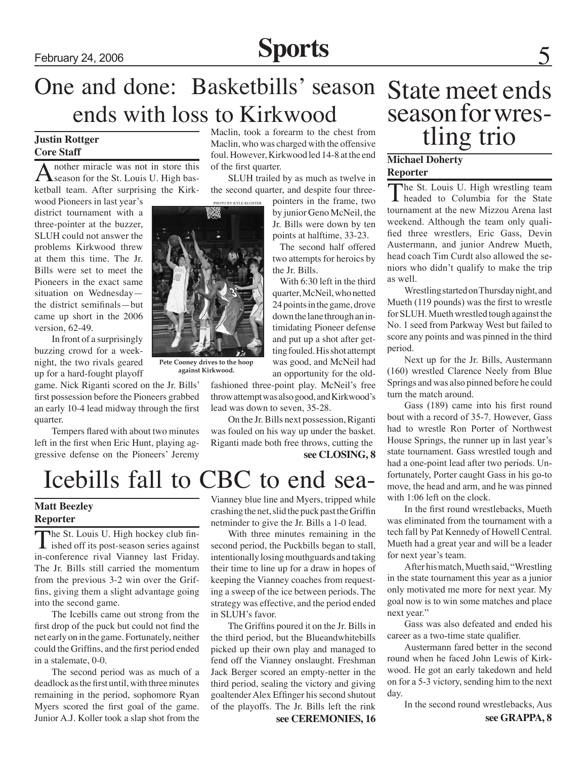### February 24, 2006 **Sports**

### One and done: Basketbills' season State meet ends ends with loss to Kirkwood

#### **Justin Rottger Core Staff**

A nother miracle was not in store this<br>
Season for the St. Louis U. High basketball team. After surprising the Kirk-

wood Pioneers in last year's district tournament with a three-pointer at the buzzer, SLUH could not answer the problems Kirkwood threw at them this time. The Jr. Bills were set to meet the Pioneers in the exact same situation on Wednesday the district semifinals—but came up short in the 2006 version, 62-49.

In front of a surprisingly buzzing crowd for a weeknight, the two rivals geared up for a hard-fought playoff

game. Nick Riganti scored on the Jr. Bills' first possession before the Pioneers grabbed an early 10-4 lead midway through the first quarter.

Tempers flared with about two minutes left in the first when Eric Hunt, playing aggressive defense on the Pioneers' Jeremy

Maclin, took a forearm to the chest from Maclin, who was charged with the offensive foul. However, Kirkwood led 14-8 at the end of the first quarter.

SLUH trailed by as much as twelve in the second quarter, and despite four three-

pointers in the frame, two by junior Geno McNeil, the Jr. Bills were down by ten points at halftime, 33-23.

The second half offered two attempts for heroics by the Jr. Bills.

With 6:30 left in the third quarter, McNeil, who netted 24 points in the game, drove down the lane through an intimidating Pioneer defense and put up a shot after getting fouled. His shot attempt was good, and McNeil had an opportunity for the old-

fashioned three-point play. McNeil's free throw attempt was also good, and Kirkwood's lead was down to seven, 35-28.

On the Jr. Bills next possession, Riganti was fouled on his way up under the basket. Riganti made both free throws, cutting the

**see CLOSING, 8**



### **Matt Beezley Reporter**

The St. Louis U. High hockey club fin-<br>ished off its post-season series against in-conference rival Vianney last Friday. The Jr. Bills still carried the momentum from the previous 3-2 win over the Griffins, giving them a slight advantage going into the second game.

The Icebills came out strong from the first drop of the puck but could not find the net early on in the game. Fortunately, neither could the Griffins, and the first period ended in a stalemate, 0-0.

The second period was as much of a deadlock as the first until, with three minutes remaining in the period, sophomore Ryan Myers scored the first goal of the game. Junior A.J. Koller took a slap shot from the

Vianney blue line and Myers, tripped while crashing the net, slid the puck past the Griffin netminder to give the Jr. Bills a 1-0 lead.

With three minutes remaining in the second period, the Puckbills began to stall, intentionally losing mouthguards and taking their time to line up for a draw in hopes of keeping the Vianney coaches from requesting a sweep of the ice between periods. The strategy was effective, and the period ended in SLUH's favor.

The Griffins poured it on the Jr. Bills in the third period, but the Blueandwhitebills picked up their own play and managed to fend off the Vianney onslaught. Freshman Jack Berger scored an empty-netter in the third period, sealing the victory and giving goaltender Alex Effinger his second shutout of the playoffs. The Jr. Bills left the rink

**see CEREMONIES, 16**

# season for wres-<br>tling trio

### **Michael Doherty Reporter**

The St. Louis U. High wrestling team headed to Columbia for the State tournament at the new Mizzou Arena last weekend. Although the team only qualified three wrestlers, Eric Gass, Devin Austermann, and junior Andrew Mueth, head coach Tim Curdt also allowed the seniors who didn't qualify to make the trip as well.

Wrestling started on Thursday night, and Mueth (119 pounds) was the first to wrestle for SLUH. Mueth wrestled tough against the No. 1 seed from Parkway West but failed to score any points and was pinned in the third period.

Next up for the Jr. Bills, Austermann (160) wrestled Clarence Neely from Blue Springs and was also pinned before he could turn the match around.

Gass (189) came into his first round bout with a record of 35-7. However, Gass had to wrestle Ron Porter of Northwest House Springs, the runner up in last year's state tournament. Gass wrestled tough and had a one-point lead after two periods. Unfortunately, Porter caught Gass in his go-to move, the head and arm, and he was pinned with 1:06 left on the clock.

In the first round wrestlebacks, Mueth was eliminated from the tournament with a tech fall by Pat Kennedy of Howell Central. Mueth had a great year and will be a leader for next year's team.

After his match, Mueth said, "Wrestling in the state tournament this year as a junior only motivated me more for next year. My goal now is to win some matches and place next year."

Gass was also defeated and ended his career as a two-time state qualifier.

Austermann fared better in the second round when he faced John Lewis of Kirkwood. He got an early takedown and held on for a 5-3 victory, sending him to the next day.

In the second round wrestlebacks, Aus



photo by kyle kloster

**Pete Cooney drives to the hoop against Kirkwood.**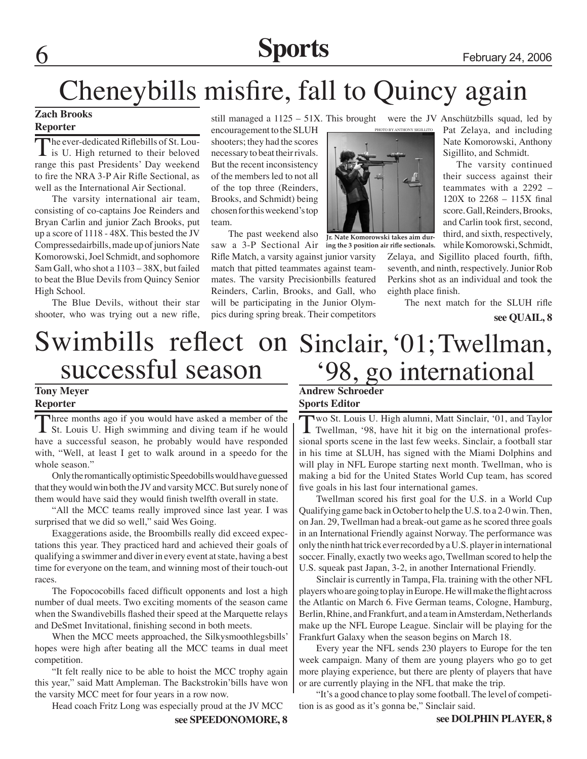# 6 **Sports** February 24, 2006

### Cheneybills misfire, fall to Quincy again

#### **Zach Brooks Reporter**

The ever-dedicated Riflebills of St. Lou-<br>is U. High returned to their beloved range this past Presidents' Day weekend to fire the NRA 3-P Air Rifle Sectional, as well as the International Air Sectional.

The varsity international air team, consisting of co-captains Joe Reinders and Bryan Carlin and junior Zach Brooks, put up a score of 1118 - 48X. This bested the JV Compressedairbills, made up of juniors Nate Komorowski, Joel Schmidt, and sophomore Sam Gall, who shot a 1103 – 38X, but failed to beat the Blue Devils from Quincy Senior High School.

The Blue Devils, without their star shooter, who was trying out a new rifle,

still managed a 1125 – 51X. This brought were the JV Anschützbills squad, led by

encouragement to the SLUH shooters; they had the scores necessary to beat their rivals. But the recent inconsistency of the members led to not all of the top three (Reinders, Brooks, and Schmidt) being chosen for this weekend's top team.

The past weekend also

saw a 3-P Sectional Air **ing the 3 position air rifle sectionals.** Rifle Match, a varsity against junior varsity match that pitted teammates against teammates. The varsity Precisionbills featured Reinders, Carlin, Brooks, and Gall, who will be participating in the Junior Olympics during spring break. Their competitors

photo by anthony sigillito



**Jr. Nate Komorowski takes aim dur-**

Pat Zelaya, and including Nate Komorowski, Anthony Sigillito, and Schmidt.

The varsity continued their success against their teammates with a 2292 – 120X to 2268 – 115X final score. Gall, Reinders, Brooks, and Carlin took first, second, third, and sixth, respectively, while Komorowski, Schmidt,

Zelaya, and Sigillito placed fourth, fifth, seventh, and ninth, respectively. Junior Rob Perkins shot as an individual and took the eighth place finish.

The next match for the SLUH rifle

**see QUAIL, 8**

### Swimbills reflect on Sinclair, '01; Twellman, successful season '98, go international

### **Tony Meyer Reporter**

Three months ago if you would have asked a member of the St. Louis U. High swimming and diving team if he would have a successful season, he probably would have responded with, "Well, at least I get to walk around in a speedo for the whole season."

Only the romantically optimistic Speedobills would have guessed that they would win both the JV and varsity MCC. But surely none of them would have said they would finish twelfth overall in state.

"All the MCC teams really improved since last year. I was surprised that we did so well," said Wes Going.

Exaggerations aside, the Broombills really did exceed expectations this year. They practiced hard and achieved their goals of qualifying a swimmer and diver in every event at state, having a best time for everyone on the team, and winning most of their touch-out races.

The Fopococobills faced difficult opponents and lost a high number of dual meets. Two exciting moments of the season came when the Swandivebills flashed their speed at the Marquette relays and DeSmet Invitational, finishing second in both meets.

When the MCC meets approached, the Silkysmoothlegsbills' hopes were high after beating all the MCC teams in dual meet competition.

"It felt really nice to be able to hoist the MCC trophy again this year," said Matt Ampleman. The Backstrokin'bills have won the varsity MCC meet for four years in a row now.

Head coach Fritz Long was especially proud at the JV MCC

### **Andrew Schroeder Sports Editor**

Two St. Louis U. High alumni, Matt Sinclair, '01, and Taylor Twellman, '98, have hit it big on the international professional sports scene in the last few weeks. Sinclair, a football star in his time at SLUH, has signed with the Miami Dolphins and will play in NFL Europe starting next month. Twellman, who is making a bid for the United States World Cup team, has scored five goals in his last four international games.

Twellman scored his first goal for the U.S. in a World Cup Qualifying game back in October to help the U.S. to a 2-0 win. Then, on Jan. 29, Twellman had a break-out game as he scored three goals in an International Friendly against Norway. The performance was only the ninth hat trick ever recorded by a U.S. player in international soccer. Finally, exactly two weeks ago, Twellman scored to help the U.S. squeak past Japan, 3-2, in another International Friendly.

Sinclair is currently in Tampa, Fla. training with the other NFL players who are going to play in Europe. He will make the flight across the Atlantic on March 6. Five German teams, Cologne, Hamburg, Berlin, Rhine, and Frankfurt, and a team in Amsterdam, Netherlands make up the NFL Europe League. Sinclair will be playing for the Frankfurt Galaxy when the season begins on March 18.

Every year the NFL sends 230 players to Europe for the ten week campaign. Many of them are young players who go to get more playing experience, but there are plenty of players that have or are currently playing in the NFL that make the trip.

"It's a good chance to play some football. The level of competition is as good as it's gonna be," Sinclair said.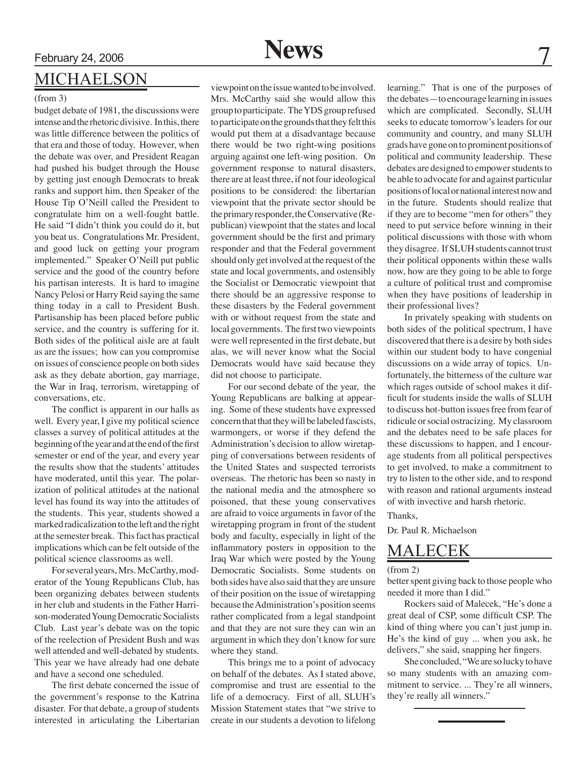### Michaelson

#### (from 3)

budget debate of 1981, the discussions were intense and the rhetoric divisive. In this, there was little difference between the politics of that era and those of today. However, when the debate was over, and President Reagan had pushed his budget through the House by getting just enough Democrats to break ranks and support him, then Speaker of the House Tip O'Neill called the President to congratulate him on a well-fought battle. He said "I didn't think you could do it, but you beat us. Congratulations Mr. President, and good luck on getting your program implemented." Speaker O'Neill put public service and the good of the country before his partisan interests. It is hard to imagine Nancy Pelosi or Harry Reid saying the same thing today in a call to President Bush. Partisanship has been placed before public service, and the country is suffering for it. Both sides of the political aisle are at fault as are the issues; how can you compromise on issues of conscience people on both sides ask as they debate abortion, gay marriage, the War in Iraq, terrorism, wiretapping of conversations, etc.

The conflict is apparent in our halls as well. Every year, I give my political science classes a survey of political attitudes at the beginning of the year and at the end of the first semester or end of the year, and every year the results show that the students' attitudes have moderated, until this year. The polarization of political attitudes at the national level has found its way into the attitudes of the students. This year, students showed a marked radicalization to the left and the right at the semester break. This fact has practical implications which can be felt outside of the political science classrooms as well.

For several years, Mrs. McCarthy, moderator of the Young Republicans Club, has been organizing debates between students in her club and students in the Father Harrison-moderated Young Democratic Socialists Club. Last year's debate was on the topic of the reelection of President Bush and was well attended and well-debated by students. This year we have already had one debate and have a second one scheduled.

The first debate concerned the issue of the government's response to the Katrina disaster. For that debate, a group of students interested in articulating the Libertarian

viewpoint on the issue wanted to be involved. Mrs. McCarthy said she would allow this group to participate. The YDS group refused to participate on the grounds that they felt this would put them at a disadvantage because there would be two right-wing positions arguing against one left-wing position. On government response to natural disasters, there are at least three, if not four ideological positions to be considered: the libertarian viewpoint that the private sector should be the primary responder, the Conservative (Republican) viewpoint that the states and local government should be the first and primary responder and that the Federal government should only get involved at the request of the state and local governments, and ostensibly the Socialist or Democratic viewpoint that there should be an aggressive response to these disasters by the Federal government with or without request from the state and local governments. The first two viewpoints were well represented in the first debate, but alas, we will never know what the Social Democrats would have said because they did not choose to participate.

For our second debate of the year, the Young Republicans are balking at appearing. Some of these students have expressed concern that that they will be labeled fascists, warmongers, or worse if they defend the Administration's decision to allow wiretapping of conversations between residents of the United States and suspected terrorists overseas. The rhetoric has been so nasty in the national media and the atmosphere so poisoned, that these young conservatives are afraid to voice arguments in favor of the wiretapping program in front of the student body and faculty, especially in light of the inflammatory posters in opposition to the Iraq War which were posted by the Young Democratic Socialists. Some students on both sides have also said that they are unsure of their position on the issue of wiretapping because the Administration's position seems rather complicated from a legal standpoint and that they are not sure they can win an argument in which they don't know for sure where they stand.

This brings me to a point of advocacy on behalf of the debates. As I stated above, compromise and trust are essential to the life of a democracy. First of all, SLUH's Mission Statement states that "we strive to create in our students a devotion to lifelong learning." That is one of the purposes of the debates—to encourage learning in issues which are complicated. Secondly, SLUH seeks to educate tomorrow's leaders for our community and country, and many SLUH grads have gone on to prominent positions of political and community leadership. These debates are designed to empower students to be able to advocate for and against particular positions of local or national interest now and in the future. Students should realize that if they are to become "men for others" they need to put service before winning in their political discussions with those with whom they disagree. If SLUH students cannot trust their political opponents within these walls now, how are they going to be able to forge a culture of political trust and compromise when they have positions of leadership in their professional lives?

In privately speaking with students on both sides of the political spectrum, I have discovered that there is a desire by both sides within our student body to have congenial discussions on a wide array of topics. Unfortunately, the bitterness of the culture war which rages outside of school makes it difficult for students inside the walls of SLUH to discuss hot-button issues free from fear of ridicule or social ostracizing. My classroom and the debates need to be safe places for these discussions to happen, and I encourage students from all political perspectives to get involved, to make a commitment to try to listen to the other side, and to respond with reason and rational arguments instead of with invective and harsh rhetoric.

Thanks,

Dr. Paul R. Michaelson

### MALECEK

#### (from 2)

better spent giving back to those people who needed it more than I did."

Rockers said of Malecek, "He's done a great deal of CSP, some difficult CSP. The kind of thing where you can't just jump in. He's the kind of guy ... when you ask, he delivers," she said, snapping her fingers.

She concluded, "We are so lucky to have so many students with an amazing commitment to service. ... They're all winners, they're really all winners."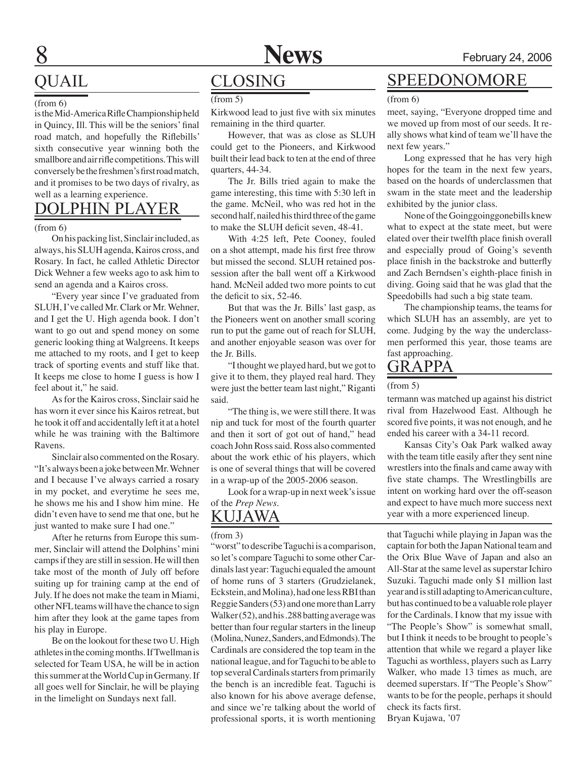

### QUAIL

#### (from 6)

is the Mid-America Rifle Championship held in Quincy, Ill. This will be the seniors' final road match, and hopefully the Riflebills' sixth consecutive year winning both the smallbore and air rifle competitions. This will conversely be the freshmen's first road match, and it promises to be two days of rivalry, as well as a learning experience.

### DOLPHIN PLAYER

#### (from 6)

On his packing list, Sinclair included, as always, his SLUH agenda, Kairos cross, and Rosary. In fact, he called Athletic Director Dick Wehner a few weeks ago to ask him to send an agenda and a Kairos cross.

"Every year since I've graduated from SLUH, I've called Mr. Clark or Mr. Wehner, and I get the U. High agenda book. I don't want to go out and spend money on some generic looking thing at Walgreens. It keeps me attached to my roots, and I get to keep track of sporting events and stuff like that. It keeps me close to home I guess is how I feel about it," he said.

As for the Kairos cross, Sinclair said he has worn it ever since his Kairos retreat, but he took it off and accidentally left it at a hotel while he was training with the Baltimore Ravens.

Sinclair also commented on the Rosary. "It's always been a joke between Mr. Wehner and I because I've always carried a rosary in my pocket, and everytime he sees me, he shows me his and I show him mine. He didn't even have to send me that one, but he just wanted to make sure I had one."

After he returns from Europe this summer, Sinclair will attend the Dolphins' mini camps if they are still in session. He will then take most of the month of July off before suiting up for training camp at the end of July. If he does not make the team in Miami, other NFL teams will have the chance to sign him after they look at the game tapes from his play in Europe.

Be on the lookout for these two U. High athletes in the coming months. If Twellman is selected for Team USA, he will be in action this summer at the World Cup in Germany. If all goes well for Sinclair, he will be playing in the limelight on Sundays next fall.

### **CLOSING**

(from 5)

Kirkwood lead to just five with six minutes remaining in the third quarter.

However, that was as close as SLUH could get to the Pioneers, and Kirkwood built their lead back to ten at the end of three quarters, 44-34.

The Jr. Bills tried again to make the game interesting, this time with 5:30 left in the game. McNeil, who was red hot in the second half, nailed his third three of the game to make the SLUH deficit seven, 48-41.

With 4:25 left, Pete Cooney, fouled on a shot attempt, made his first free throw but missed the second. SLUH retained possession after the ball went off a Kirkwood hand. McNeil added two more points to cut the deficit to six, 52-46.

But that was the Jr. Bills' last gasp, as the Pioneers went on another small scoring run to put the game out of reach for SLUH, and another enjoyable season was over for the Jr. Bills.

"I thought we played hard, but we got to give it to them, they played real hard. They were just the better team last night," Riganti said.

"The thing is, we were still there. It was nip and tuck for most of the fourth quarter and then it sort of got out of hand," head coach John Ross said. Ross also commented about the work ethic of his players, which is one of several things that will be covered in a wrap-up of the 2005-2006 season.

Look for a wrap-up in next week's issue of the *Prep News*.

### Kujawa

#### (from 3)

"worst" to describe Taguchi is a comparison, so let's compare Taguchi to some other Cardinals last year: Taguchi equaled the amount of home runs of 3 starters (Grudzielanek, Eckstein, and Molina), had one less RBI than Reggie Sanders (53) and one more than Larry Walker (52), and his .288 batting average was better than four regular starters in the lineup (Molina, Nunez, Sanders, and Edmonds). The Cardinals are considered the top team in the national league, and for Taguchi to be able to top several Cardinals starters from primarily the bench is an incredible feat. Taguchi is also known for his above average defense, and since we're talking about the world of professional sports, it is worth mentioning

### SPEEDONOMORE

(from 6)

meet, saying, "Everyone dropped time and we moved up from most of our seeds. It really shows what kind of team we'll have the next few years."

Long expressed that he has very high hopes for the team in the next few years, based on the hoards of underclassmen that swam in the state meet and the leadership exhibited by the junior class.

None of the Goinggoinggonebills knew what to expect at the state meet, but were elated over their twelfth place finish overall and especially proud of Going's seventh place finish in the backstroke and butterfly and Zach Berndsen's eighth-place finish in diving. Going said that he was glad that the Speedobills had such a big state team.

The championship teams, the teams for which SLUH has an assembly, are yet to come. Judging by the way the underclassmen performed this year, those teams are fast approaching.

### GRAPPA

#### (from 5)

termann was matched up against his district rival from Hazelwood East. Although he scored five points, it was not enough, and he ended his career with a 34-11 record.

Kansas City's Oak Park walked away with the team title easily after they sent nine wrestlers into the finals and came away with five state champs. The Wrestlingbills are intent on working hard over the off-season and expect to have much more success next year with a more experienced lineup.

that Taguchi while playing in Japan was the captain for both the Japan National team and the Orix Blue Wave of Japan and also an All-Star at the same level as superstar Ichiro Suzuki. Taguchi made only \$1 million last year and is still adapting to American culture, but has continued to be a valuable role player for the Cardinals. I know that my issue with "The People's Show" is somewhat small, but I think it needs to be brought to people's attention that while we regard a player like Taguchi as worthless, players such as Larry Walker, who made 13 times as much, are deemed superstars. If "The People's Show" wants to be for the people, perhaps it should check its facts first. Bryan Kujawa, '07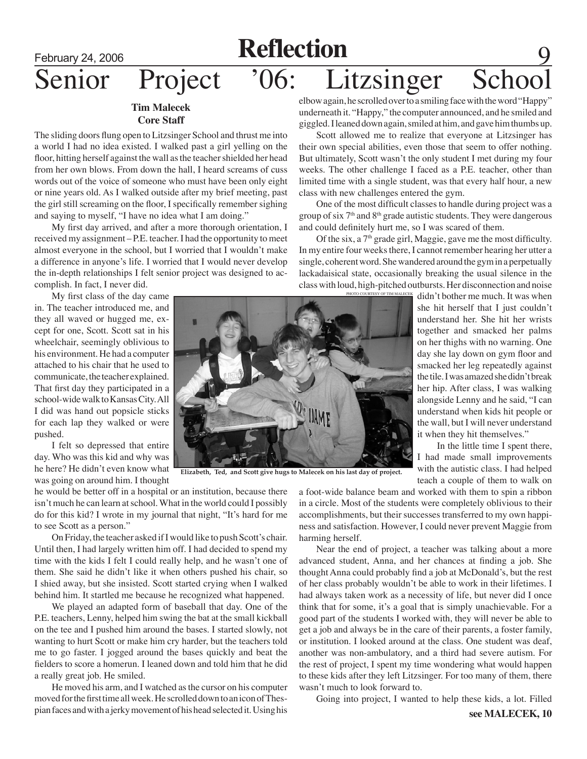## February 24, 2006 **Reflection** Senior Project '06: Litzsinger Scho

### **Tim Malecek Core Staff**

The sliding doors flung open to Litzsinger School and thrust me into a world I had no idea existed. I walked past a girl yelling on the floor, hitting herself against the wall as the teacher shielded her head from her own blows. From down the hall, I heard screams of cuss words out of the voice of someone who must have been only eight or nine years old. As I walked outside after my brief meeting, past the girl still screaming on the floor, I specifically remember sighing and saying to myself, "I have no idea what I am doing."

My first day arrived, and after a more thorough orientation, I received my assignment – P.E. teacher. I had the opportunity to meet almost everyone in the school, but I worried that I wouldn't make a difference in anyone's life. I worried that I would never develop the in-depth relationships I felt senior project was designed to accomplish. In fact, I never did.

My first class of the day came in. The teacher introduced me, and they all waved or hugged me, except for one, Scott. Scott sat in his wheelchair, seemingly oblivious to his environment. He had a computer attached to his chair that he used to communicate, the teacher explained. That first day they participated in a school-wide walk to Kansas City. All I did was hand out popsicle sticks for each lap they walked or were pushed.

I felt so depressed that entire day. Who was this kid and why was he here? He didn't even know what was going on around him. I thought

he would be better off in a hospital or an institution, because there isn't much he can learn at school. What in the world could I possibly do for this kid? I wrote in my journal that night, "It's hard for me to see Scott as a person."

On Friday, the teacher asked if I would like to push Scott's chair. Until then, I had largely written him off. I had decided to spend my time with the kids I felt I could really help, and he wasn't one of them. She said he didn't like it when others pushed his chair, so I shied away, but she insisted. Scott started crying when I walked behind him. It startled me because he recognized what happened.

We played an adapted form of baseball that day. One of the P.E. teachers, Lenny, helped him swing the bat at the small kickball on the tee and I pushed him around the bases. I started slowly, not wanting to hurt Scott or make him cry harder, but the teachers told me to go faster. I jogged around the bases quickly and beat the fielders to score a homerun. I leaned down and told him that he did a really great job. He smiled.

He moved his arm, and I watched as the cursor on his computer moved for the first time all week. He scrolled down to an icon of Thespian faces and with a jerky movement of his head selected it. Using his elbow again, he scrolled over to a smiling face with the word "Happy" underneath it. "Happy," the computer announced, and he smiled and giggled. I leaned down again, smiled at him, and gave him thumbs up.

Scott allowed me to realize that everyone at Litzsinger has their own special abilities, even those that seem to offer nothing. But ultimately, Scott wasn't the only student I met during my four weeks. The other challenge I faced as a P.E. teacher, other than limited time with a single student, was that every half hour, a new class with new challenges entered the gym.

One of the most difficult classes to handle during project was a group of six  $7<sup>th</sup>$  and  $8<sup>th</sup>$  grade autistic students. They were dangerous and could definitely hurt me, so I was scared of them.

Of the six, a  $7<sup>th</sup>$  grade girl, Maggie, gave me the most difficulty. In my entire four weeks there, I cannot remember hearing her utter a single, coherent word. She wandered around the gym in a perpetually lackadaisical state, occasionally breaking the usual silence in the class with loud, high-pitched outbursts. Her disconnection and noise

photo courtesy of tim m

didn't bother me much. It was when she hit herself that I just couldn't understand her. She hit her wrists together and smacked her palms on her thighs with no warning. One day she lay down on gym floor and smacked her leg repeatedly against the tile. I was amazed she didn't break her hip. After class, I was walking alongside Lenny and he said, "I can understand when kids hit people or the wall, but I will never understand it when they hit themselves."

In the little time I spent there, I had made small improvements with the autistic class. I had helped teach a couple of them to walk on

a foot-wide balance beam and worked with them to spin a ribbon in a circle. Most of the students were completely oblivious to their accomplishments, but their successes transferred to my own happiness and satisfaction. However, I could never prevent Maggie from harming herself.

 Near the end of project, a teacher was talking about a more advanced student, Anna, and her chances at finding a job. She thought Anna could probably find a job at McDonald's, but the rest of her class probably wouldn't be able to work in their lifetimes. I had always taken work as a necessity of life, but never did I once think that for some, it's a goal that is simply unachievable. For a good part of the students I worked with, they will never be able to get a job and always be in the care of their parents, a foster family, or institution. I looked around at the class. One student was deaf, another was non-ambulatory, and a third had severe autism. For the rest of project, I spent my time wondering what would happen to these kids after they left Litzsinger. For too many of them, there wasn't much to look forward to.

Going into project, I wanted to help these kids, a lot. Filled



**Elizabeth, Ted, and Scott give hugs to Malecek on his last day of project.**

**see MALECEK, 10**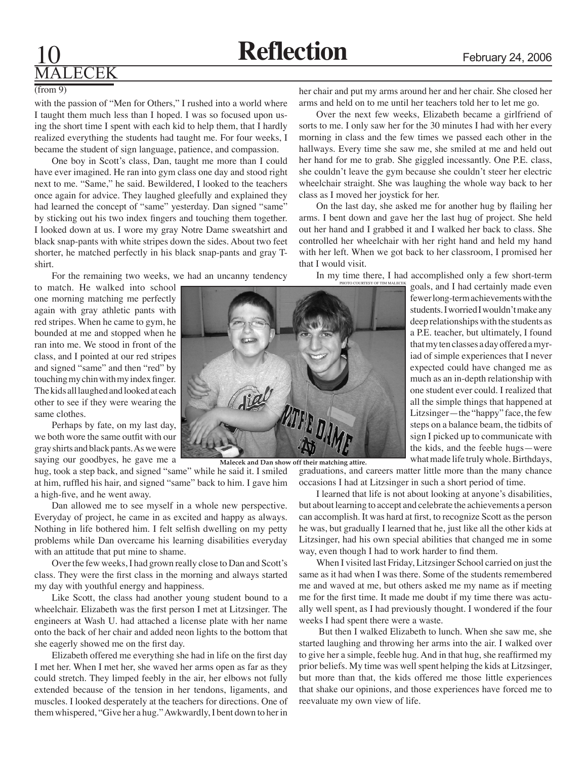### **LECEK**

#### (from 9)

with the passion of "Men for Others," I rushed into a world where I taught them much less than I hoped. I was so focused upon using the short time I spent with each kid to help them, that I hardly realized everything the students had taught me. For four weeks, I became the student of sign language, patience, and compassion.

One boy in Scott's class, Dan, taught me more than I could have ever imagined. He ran into gym class one day and stood right next to me. "Same," he said. Bewildered, I looked to the teachers once again for advice. They laughed gleefully and explained they had learned the concept of "same" yesterday. Dan signed "same" by sticking out his two index fingers and touching them together. I looked down at us. I wore my gray Notre Dame sweatshirt and black snap-pants with white stripes down the sides. About two feet shorter, he matched perfectly in his black snap-pants and gray Tshirt.

For the remaining two weeks, we had an uncanny tendency

to match. He walked into school one morning matching me perfectly again with gray athletic pants with red stripes. When he came to gym, he bounded at me and stopped when he ran into me. We stood in front of the class, and I pointed at our red stripes and signed "same" and then "red" by touching my chin with my index finger. The kids all laughed and looked at each other to see if they were wearing the same clothes.

Perhaps by fate, on my last day, we both wore the same outfit with our gray shirts and black pants. As we were saying our goodbyes, he gave me a

hug, took a step back, and signed "same" while he said it. I smiled at him, ruffled his hair, and signed "same" back to him. I gave him a high-five, and he went away.

Dan allowed me to see myself in a whole new perspective. Everyday of project, he came in as excited and happy as always. Nothing in life bothered him. I felt selfish dwelling on my petty problems while Dan overcame his learning disabilities everyday with an attitude that put mine to shame.

Over the few weeks, I had grown really close to Dan and Scott's class. They were the first class in the morning and always started my day with youthful energy and happiness.

Like Scott, the class had another young student bound to a wheelchair. Elizabeth was the first person I met at Litzsinger. The engineers at Wash U. had attached a license plate with her name onto the back of her chair and added neon lights to the bottom that she eagerly showed me on the first day.

Elizabeth offered me everything she had in life on the first day I met her. When I met her, she waved her arms open as far as they could stretch. They limped feebly in the air, her elbows not fully extended because of the tension in her tendons, ligaments, and muscles. I looked desperately at the teachers for directions. One of them whispered, "Give her a hug." Awkwardly, I bent down to her in her chair and put my arms around her and her chair. She closed her arms and held on to me until her teachers told her to let me go.

Over the next few weeks, Elizabeth became a girlfriend of sorts to me. I only saw her for the 30 minutes I had with her every morning in class and the few times we passed each other in the hallways. Every time she saw me, she smiled at me and held out her hand for me to grab. She giggled incessantly. One P.E. class, she couldn't leave the gym because she couldn't steer her electric wheelchair straight. She was laughing the whole way back to her class as I moved her joystick for her.

On the last day, she asked me for another hug by flailing her arms. I bent down and gave her the last hug of project. She held out her hand and I grabbed it and I walked her back to class. She controlled her wheelchair with her right hand and held my hand with her left. When we got back to her classroom, I promised her that I would visit.

In my time there, I had accomplished only a few short-term

goals, and I had certainly made even fewer long-term achievements with the students. I worried I wouldn't make any deep relationships with the students as a P.E. teacher, but ultimately, I found that my ten classes a day offered a myriad of simple experiences that I never expected could have changed me as much as an in-depth relationship with one student ever could. I realized that all the simple things that happened at Litzsinger—the "happy" face, the few steps on a balance beam, the tidbits of sign I picked up to communicate with the kids, and the feeble hugs—were what made life truly whole. Birthdays,



**Malecek and Dan show off their matching attire.**

graduations, and careers matter little more than the many chance occasions I had at Litzsinger in such a short period of time.

I learned that life is not about looking at anyone's disabilities, but about learning to accept and celebrate the achievements a person can accomplish. It was hard at first, to recognize Scott as the person he was, but gradually I learned that he, just like all the other kids at Litzsinger, had his own special abilities that changed me in some way, even though I had to work harder to find them.

When I visited last Friday, Litzsinger School carried on just the same as it had when I was there. Some of the students remembered me and waved at me, but others asked me my name as if meeting me for the first time. It made me doubt if my time there was actually well spent, as I had previously thought. I wondered if the four weeks I had spent there were a waste.

 But then I walked Elizabeth to lunch. When she saw me, she started laughing and throwing her arms into the air. I walked over to give her a simple, feeble hug. And in that hug, she reaffirmed my prior beliefs. My time was well spent helping the kids at Litzsinger, but more than that, the kids offered me those little experiences that shake our opinions, and those experiences have forced me to reevaluate my own view of life.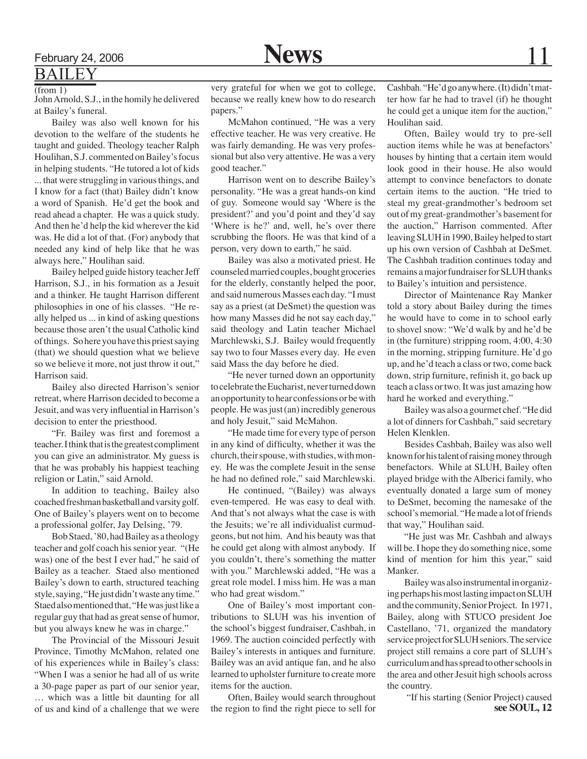### BAILEY (from 1)

John Arnold, S.J., in the homily he delivered at Bailey's funeral.

Bailey was also well known for his devotion to the welfare of the students he taught and guided. Theology teacher Ralph Houlihan, S.J. commented on Bailey's focus in helping students. "He tutored a lot of kids ... that were struggling in various things, and I know for a fact (that) Bailey didn't know a word of Spanish. He'd get the book and read ahead a chapter. He was a quick study. And then he'd help the kid wherever the kid was. He did a lot of that. (For) anybody that needed any kind of help like that he was always here," Houlihan said.

Bailey helped guide history teacher Jeff Harrison, S.J., in his formation as a Jesuit and a thinker. He taught Harrison different philosophies in one of his classes. "He really helped us ... in kind of asking questions because those aren't the usual Catholic kind of things. So here you have this priest saying (that) we should question what we believe so we believe it more, not just throw it out," Harrison said.

Bailey also directed Harrison's senior retreat, where Harrison decided to become a Jesuit, and was very influential in Harrison's decision to enter the priesthood.

"Fr. Bailey was first and foremost a teacher. I think that is the greatest compliment you can give an administrator. My guess is that he was probably his happiest teaching religion or Latin," said Arnold.

In addition to teaching, Bailey also coached freshman basketball and varsity golf. One of Bailey's players went on to become a professional golfer, Jay Delsing, '79.

Bob Staed, '80, had Bailey as a theology teacher and golf coach his senior year. "(He was) one of the best I ever had," he said of Bailey as a teacher. Staed also mentioned Bailey's down to earth, structured teaching style, saying, "He just didn't waste any time." Staed also mentioned that, "He was just like a regular guy that had as great sense of humor, but you always knew he was in charge."

The Provincial of the Missouri Jesuit Province, Timothy McMahon, related one of his experiences while in Bailey's class: "When I was a senior he had all of us write a 30-page paper as part of our senior year, … which was a little bit daunting for all of us and kind of a challenge that we were

very grateful for when we got to college, because we really knew how to do research papers."

McMahon continued, "He was a very effective teacher. He was very creative. He was fairly demanding. He was very professional but also very attentive. He was a very good teacher."

Harrison went on to describe Bailey's personality. "He was a great hands-on kind of guy. Someone would say 'Where is the president?' and you'd point and they'd say 'Where is he?' and, well, he's over there scrubbing the floors. He was that kind of a person, very down to earth," he said.

Bailey was also a motivated priest. He counseled married couples, bought groceries for the elderly, constantly helped the poor, and said numerous Masses each day. "I must say as a priest (at DeSmet) the question was how many Masses did he not say each day," said theology and Latin teacher Michael Marchlewski, S.J. Bailey would frequently say two to four Masses every day. He even said Mass the day before he died.

"He never turned down an opportunity to celebrate the Eucharist, never turned down an opportunity to hear confessions or be with people. He was just (an) incredibly generous and holy Jesuit," said McMahon.

"He made time for every type of person in any kind of difficulty, whether it was the church, their spouse, with studies, with money. He was the complete Jesuit in the sense he had no defined role," said Marchlewski.

He continued, "(Bailey) was always even-tempered. He was easy to deal with. And that's not always what the case is with the Jesuits; we're all individualist curmudgeons, but not him. And his beauty was that he could get along with almost anybody. If you couldn't, there's something the matter with you." Marchlewski added, "He was a great role model. I miss him. He was a man who had great wisdom."

One of Bailey's most important contributions to SLUH was his invention of the school's biggest fundraiser, Cashbah, in 1969. The auction coincided perfectly with Bailey's interests in antiques and furniture. Bailey was an avid antique fan, and he also learned to upholster furniture to create more items for the auction.

Often, Bailey would search throughout the region to find the right piece to sell for Cashbah. "He'd go anywhere. (It) didn't matter how far he had to travel (if) he thought he could get a unique item for the auction," Houlihan said.

Often, Bailey would try to pre-sell auction items while he was at benefactors' houses by hinting that a certain item would look good in their house. He also would attempt to convince benefactors to donate certain items to the auction. "He tried to steal my great-grandmother's bedroom set out of my great-grandmother's basement for the auction," Harrison commented. After leaving SLUH in 1990, Bailey helped to start up his own version of Cashbah at DeSmet. The Cashbah tradition continues today and remains a major fundraiser for SLUH thanks to Bailey's intuition and persistence.

Director of Maintenance Ray Manker told a story about Bailey during the times he would have to come in to school early to shovel snow: "We'd walk by and he'd be in (the furniture) stripping room, 4:00, 4:30 in the morning, stripping furniture. He'd go up, and he'd teach a class or two, come back down, strip furniture, refinish it, go back up teach a class or two. It was just amazing how hard he worked and everything."

Bailey was also a gourmet chef. "He did a lot of dinners for Cashbah," said secretary Helen Klenklen.

Besides Cashbah, Bailey was also well known for his talent of raising money through benefactors. While at SLUH, Bailey often played bridge with the Alberici family, who eventually donated a large sum of money to DeSmet, becoming the namesake of the school's memorial. "He made a lot of friends that way," Houlihan said.

"He just was Mr. Cashbah and always will be. I hope they do something nice, some kind of mention for him this year," said Manker.

Bailey was also instrumental in organizing perhaps his most lasting impact on SLUH and the community, Senior Project. In 1971, Bailey, along with STUCO president Joe Castellano, '71, organized the mandatory service project for SLUH seniors. The service project still remains a core part of SLUH's curriculum and has spread to other schools in the area and other Jesuit high schools across the country.

 "If his starting (Senior Project) caused **see SOUL, 12**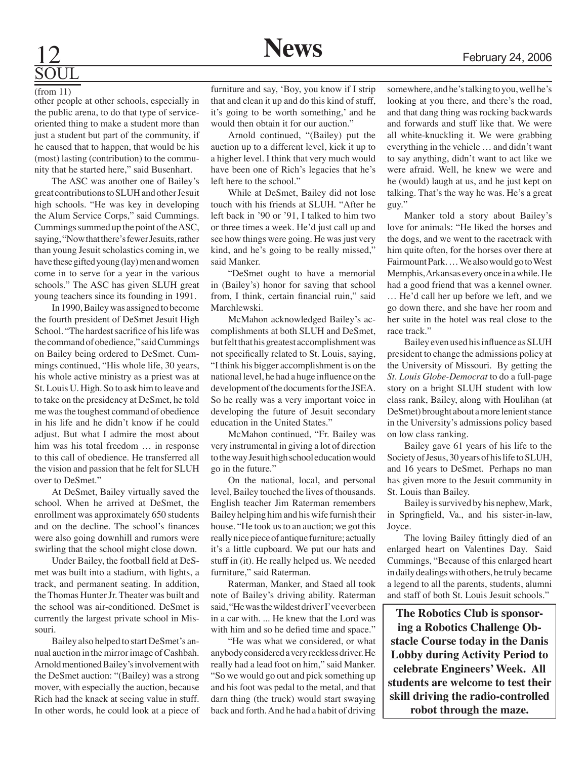# **SOUL**

(from 11)

other people at other schools, especially in the public arena, to do that type of serviceoriented thing to make a student more than just a student but part of the community, if he caused that to happen, that would be his (most) lasting (contribution) to the community that he started here," said Busenhart.

The ASC was another one of Bailey's great contributions to SLUH and other Jesuit high schools. "He was key in developing the Alum Service Corps," said Cummings. Cummings summed up the point of the ASC, saying, "Now that there's fewer Jesuits, rather than young Jesuit scholastics coming in, we have these gifted young (lay) men and women come in to serve for a year in the various schools." The ASC has given SLUH great young teachers since its founding in 1991.

In 1990, Bailey was assigned to become the fourth president of DeSmet Jesuit High School. "The hardest sacrifice of his life was the command of obedience," said Cummings on Bailey being ordered to DeSmet. Cummings continued, "His whole life, 30 years, his whole active ministry as a priest was at St. Louis U. High. So to ask him to leave and to take on the presidency at DeSmet, he told me was the toughest command of obedience in his life and he didn't know if he could adjust. But what I admire the most about him was his total freedom … in response to this call of obedience. He transferred all the vision and passion that he felt for SLUH over to DeSmet."

At DeSmet, Bailey virtually saved the school. When he arrived at DeSmet, the enrollment was approximately 650 students and on the decline. The school's finances were also going downhill and rumors were swirling that the school might close down.

Under Bailey, the football field at DeSmet was built into a stadium, with lights, a track, and permanent seating. In addition, the Thomas Hunter Jr. Theater was built and the school was air-conditioned. DeSmet is currently the largest private school in Missouri.

Bailey also helped to start DeSmet's annual auction in the mirror image of Cashbah. Arnold mentioned Bailey's involvement with the DeSmet auction: "(Bailey) was a strong mover, with especially the auction, because Rich had the knack at seeing value in stuff. In other words, he could look at a piece of

furniture and say, 'Boy, you know if I strip that and clean it up and do this kind of stuff, it's going to be worth something,' and he would then obtain it for our auction."

Arnold continued, "(Bailey) put the auction up to a different level, kick it up to a higher level. I think that very much would have been one of Rich's legacies that he's left here to the school."

While at DeSmet, Bailey did not lose touch with his friends at SLUH. "After he left back in '90 or '91, I talked to him two or three times a week. He'd just call up and see how things were going. He was just very kind, and he's going to be really missed," said Manker.

 "DeSmet ought to have a memorial in (Bailey's) honor for saving that school from, I think, certain financial ruin," said Marchlewski.

McMahon acknowledged Bailey's accomplishments at both SLUH and DeSmet, but felt that his greatest accomplishment was not specifically related to St. Louis, saying, "I think his bigger accomplishment is on the national level, he had a huge influence on the development of the documents for the JSEA. So he really was a very important voice in developing the future of Jesuit secondary education in the United States."

McMahon continued, "Fr. Bailey was very instrumental in giving a lot of direction to the way Jesuit high school education would go in the future."

On the national, local, and personal level, Bailey touched the lives of thousands. English teacher Jim Raterman remembers Bailey helping him and his wife furnish their house. "He took us to an auction; we got this really nice piece of antique furniture; actually it's a little cupboard. We put our hats and stuff in (it). He really helped us. We needed furniture," said Raterman.

Raterman, Manker, and Staed all took note of Bailey's driving ability. Raterman said, "He was the wildest driver I've ever been in a car with. ... He knew that the Lord was with him and so he defied time and space."

"He was what we considered, or what anybody considered a very reckless driver. He really had a lead foot on him," said Manker. "So we would go out and pick something up and his foot was pedal to the metal, and that darn thing (the truck) would start swaying back and forth. And he had a habit of driving somewhere, and he's talking to you, well he's looking at you there, and there's the road, and that dang thing was rocking backwards and forwards and stuff like that. We were all white-knuckling it. We were grabbing everything in the vehicle … and didn't want to say anything, didn't want to act like we were afraid. Well, he knew we were and he (would) laugh at us, and he just kept on talking. That's the way he was. He's a great guy."

Manker told a story about Bailey's love for animals: "He liked the horses and the dogs, and we went to the racetrack with him quite often, for the horses over there at Fairmount Park. … We also would go to West Memphis, Arkansas every once in a while. He had a good friend that was a kennel owner. … He'd call her up before we left, and we go down there, and she have her room and her suite in the hotel was real close to the race track."

Bailey even used his influence as SLUH president to change the admissions policy at the University of Missouri. By getting the *St. Louis Globe-Democrat* to do a full-page story on a bright SLUH student with low class rank, Bailey, along with Houlihan (at DeSmet) brought about a more lenient stance in the University's admissions policy based on low class ranking.

Bailey gave 61 years of his life to the Society of Jesus, 30 years of his life to SLUH, and 16 years to DeSmet. Perhaps no man has given more to the Jesuit community in St. Louis than Bailey.

Bailey is survived by his nephew, Mark, in Springfield, Va., and his sister-in-law, Joyce.

The loving Bailey fittingly died of an enlarged heart on Valentines Day. Said Cummings, "Because of this enlarged heart in daily dealings with others, he truly became a legend to all the parents, students, alumni and staff of both St. Louis Jesuit schools."

**The Robotics Club is sponsoring a Robotics Challenge Obstacle Course today in the Danis Lobby during Activity Period to celebrate Engineers' Week. All students are welcome to test their skill driving the radio-controlled robot through the maze.**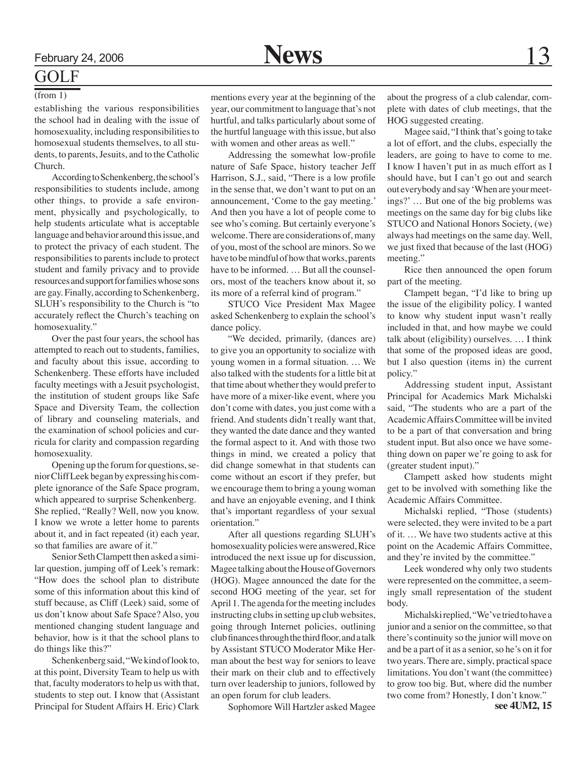### GOLF

#### (from 1)

establishing the various responsibilities the school had in dealing with the issue of homosexuality, including responsibilities to homosexual students themselves, to all students, to parents, Jesuits, and to the Catholic Church.

According to Schenkenberg, the school's responsibilities to students include, among other things, to provide a safe environment, physically and psychologically, to help students articulate what is acceptable language and behavior around this issue, and to protect the privacy of each student. The responsibilities to parents include to protect student and family privacy and to provide resources and support for families whose sons are gay. Finally, according to Schenkenberg, SLUH's responsibility to the Church is "to accurately reflect the Church's teaching on homosexuality."

Over the past four years, the school has attempted to reach out to students, families, and faculty about this issue, according to Schenkenberg. These efforts have included faculty meetings with a Jesuit psychologist, the institution of student groups like Safe Space and Diversity Team, the collection of library and counseling materials, and the examination of school policies and curricula for clarity and compassion regarding homosexuality.

Opening up the forum for questions, senior Cliff Leek began by expressing his complete ignorance of the Safe Space program, which appeared to surprise Schenkenberg. She replied, "Really? Well, now you know. I know we wrote a letter home to parents about it, and in fact repeated (it) each year, so that families are aware of it."

Senior Seth Clampett then asked a similar question, jumping off of Leek's remark: "How does the school plan to distribute some of this information about this kind of stuff because, as Cliff (Leek) said, some of us don't know about Safe Space? Also, you mentioned changing student language and behavior, how is it that the school plans to do things like this?"

Schenkenberg said, "We kind of look to, at this point, Diversity Team to help us with that, faculty moderators to help us with that, students to step out. I know that (Assistant Principal for Student Affairs H. Eric) Clark

mentions every year at the beginning of the year, our commitment to language that's not hurtful, and talks particularly about some of the hurtful language with this issue, but also with women and other areas as well."

Addressing the somewhat low-profile nature of Safe Space, history teacher Jeff Harrison, S.J., said, "There is a low profile in the sense that, we don't want to put on an announcement, 'Come to the gay meeting.' And then you have a lot of people come to see who's coming. But certainly everyone's welcome. There are considerations of, many of you, most of the school are minors. So we have to be mindful of how that works, parents have to be informed. … But all the counselors, most of the teachers know about it, so its more of a referral kind of program."

STUCO Vice President Max Magee asked Schenkenberg to explain the school's dance policy.

"We decided, primarily, (dances are) to give you an opportunity to socialize with young women in a formal situation. … We also talked with the students for a little bit at that time about whether they would prefer to have more of a mixer-like event, where you don't come with dates, you just come with a friend. And students didn't really want that, they wanted the date dance and they wanted the formal aspect to it. And with those two things in mind, we created a policy that did change somewhat in that students can come without an escort if they prefer, but we encourage them to bring a young woman and have an enjoyable evening, and I think that's important regardless of your sexual orientation."

After all questions regarding SLUH's homosexuality policies were answered, Rice introduced the next issue up for discussion, Magee talking about the House of Governors (HOG). Magee announced the date for the second HOG meeting of the year, set for April 1. The agenda for the meeting includes instructing clubs in setting up club websites, going through Internet policies, outlining club finances through the third floor, and a talk by Assistant STUCO Moderator Mike Herman about the best way for seniors to leave their mark on their club and to effectively turn over leadership to juniors, followed by an open forum for club leaders.

Sophomore Will Hartzler asked Magee

about the progress of a club calendar, complete with dates of club meetings, that the HOG suggested creating.

Magee said, "I think that's going to take a lot of effort, and the clubs, especially the leaders, are going to have to come to me. I know I haven't put in as much effort as I should have, but I can't go out and search out everybody and say 'When are your meetings?' … But one of the big problems was meetings on the same day for big clubs like STUCO and National Honors Society, (we) always had meetings on the same day. Well, we just fixed that because of the last (HOG) meeting."

Rice then announced the open forum part of the meeting.

Clampett began, "I'd like to bring up the issue of the eligibility policy. I wanted to know why student input wasn't really included in that, and how maybe we could talk about (eligibility) ourselves. … I think that some of the proposed ideas are good, but I also question (items in) the current policy."

Addressing student input, Assistant Principal for Academics Mark Michalski said, "The students who are a part of the Academic Affairs Committee will be invited to be a part of that conversation and bring student input. But also once we have something down on paper we're going to ask for (greater student input)."

Clampett asked how students might get to be involved with something like the Academic Affairs Committee.

Michalski replied, "Those (students) were selected, they were invited to be a part of it. … We have two students active at this point on the Academic Affairs Committee, and they're invited by the committee."

Leek wondered why only two students were represented on the committee, a seemingly small representation of the student body.

Michalski replied, "We've tried to have a junior and a senior on the committee, so that there's continuity so the junior will move on and be a part of it as a senior, so he's on it for two years. There are, simply, practical space limitations. You don't want (the committee) to grow too big. But, where did the number two come from? Honestly, I don't know." **see 4UM2, 15**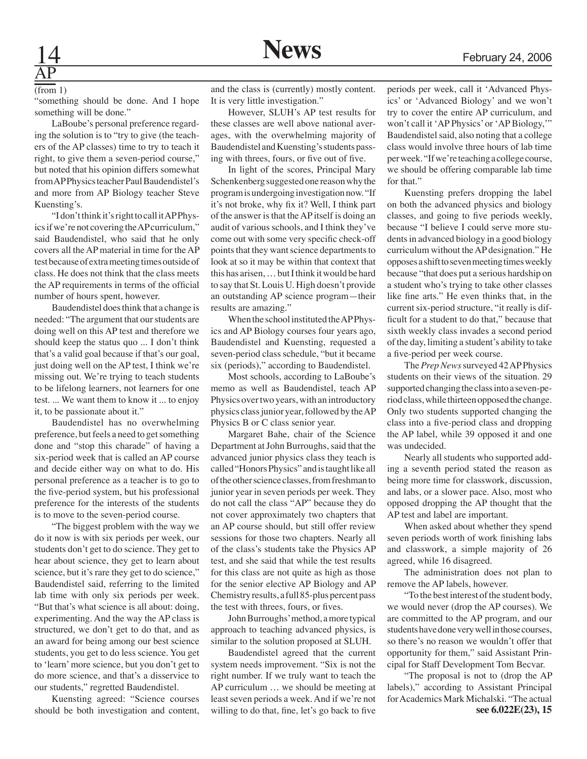# AP

#### (from 1)

"something should be done. And I hope something will be done."

LaBoube's personal preference regarding the solution is to "try to give (the teachers of the AP classes) time to try to teach it right, to give them a seven-period course," but noted that his opinion differs somewhat from AP Physics teacher Paul Baudendistel's and more from AP Biology teacher Steve Kuensting's.

"I don't think it's right to call it AP Physics if we're not covering the AP curriculum," said Baudendistel, who said that he only covers all the AP material in time for the AP test because of extra meeting times outside of class. He does not think that the class meets the AP requirements in terms of the official number of hours spent, however.

Baudendistel does think that a change is needed: "The argument that our students are doing well on this AP test and therefore we should keep the status quo ... I don't think that's a valid goal because if that's our goal, just doing well on the AP test, I think we're missing out. We're trying to teach students to be lifelong learners, not learners for one test. ... We want them to know it ... to enjoy it, to be passionate about it."

Baudendistel has no overwhelming preference, but feels a need to get something done and "stop this charade" of having a six-period week that is called an AP course and decide either way on what to do. His personal preference as a teacher is to go to the five-period system, but his professional preference for the interests of the students is to move to the seven-period course.

"The biggest problem with the way we do it now is with six periods per week, our students don't get to do science. They get to hear about science, they get to learn about science, but it's rare they get to do science," Baudendistel said, referring to the limited lab time with only six periods per week. "But that's what science is all about: doing, experimenting. And the way the AP class is structured, we don't get to do that, and as an award for being among our best science students, you get to do less science. You get to 'learn' more science, but you don't get to do more science, and that's a disservice to our students," regretted Baudendistel.

Kuensting agreed: "Science courses should be both investigation and content, and the class is (currently) mostly content. It is very little investigation."

However, SLUH's AP test results for these classes are well above national averages, with the overwhelming majority of Baudendistel and Kuensting's students passing with threes, fours, or five out of five.

In light of the scores, Principal Mary Schenkenberg suggested one reason why the program is undergoing investigation now. "If it's not broke, why fix it? Well, I think part of the answer is that the AP itself is doing an audit of various schools, and I think they've come out with some very specific check-off points that they want science departments to look at so it may be within that context that this has arisen, … but I think it would be hard to say that St. Louis U. High doesn't provide an outstanding AP science program—their results are amazing."

When the school instituted the AP Physics and AP Biology courses four years ago, Baudendistel and Kuensting, requested a seven-period class schedule, "but it became six (periods)," according to Baudendistel.

Most schools, according to LaBoube's memo as well as Baudendistel, teach AP Physics over two years, with an introductory physics class junior year, followed by the AP Physics B or C class senior year.

Margaret Bahe, chair of the Science Department at John Burroughs, said that the advanced junior physics class they teach is called "Honors Physics" and is taught like all of the other science classes, from freshman to junior year in seven periods per week. They do not call the class "AP" because they do not cover approximately two chapters that an AP course should, but still offer review sessions for those two chapters. Nearly all of the class's students take the Physics AP test, and she said that while the test results for this class are not quite as high as those for the senior elective AP Biology and AP Chemistry results, a full 85-plus percent pass the test with threes, fours, or fives.

John Burroughs' method, a more typical approach to teaching advanced physics, is similar to the solution proposed at SLUH.

Baudendistel agreed that the current system needs improvement. "Six is not the right number. If we truly want to teach the AP curriculum … we should be meeting at least seven periods a week. And if we're not willing to do that, fine, let's go back to five

periods per week, call it 'Advanced Physics' or 'Advanced Biology' and we won't try to cover the entire AP curriculum, and won't call it 'AP Physics' or 'AP Biology,'" Baudendistel said, also noting that a college class would involve three hours of lab time per week. "If we're teaching a college course, we should be offering comparable lab time for that."

Kuensting prefers dropping the label on both the advanced physics and biology classes, and going to five periods weekly, because "I believe I could serve more students in advanced biology in a good biology curriculum without the AP designation." He opposes a shift to seven meeting times weekly because "that does put a serious hardship on a student who's trying to take other classes like fine arts." He even thinks that, in the current six-period structure, "it really is difficult for a student to do that," because that sixth weekly class invades a second period of the day, limiting a student's ability to take a five-period per week course.

The *Prep News* surveyed 42 AP Physics students on their views of the situation. 29 supported changing the class into a seven-period class, while thirteen opposed the change. Only two students supported changing the class into a five-period class and dropping the AP label, while 39 opposed it and one was undecided.

Nearly all students who supported adding a seventh period stated the reason as being more time for classwork, discussion, and labs, or a slower pace. Also, most who opposed dropping the AP thought that the AP test and label are important.

When asked about whether they spend seven periods worth of work finishing labs and classwork, a simple majority of 26 agreed, while 16 disagreed.

The administration does not plan to remove the AP labels, however.

"To the best interest of the student body, we would never (drop the AP courses). We are committed to the AP program, and our students have done very well in those courses, so there's no reason we wouldn't offer that opportunity for them," said Assistant Principal for Staff Development Tom Becvar.

"The proposal is not to (drop the AP labels)," according to Assistant Principal for Academics Mark Michalski. "The actual **see 6.022E(23), 15**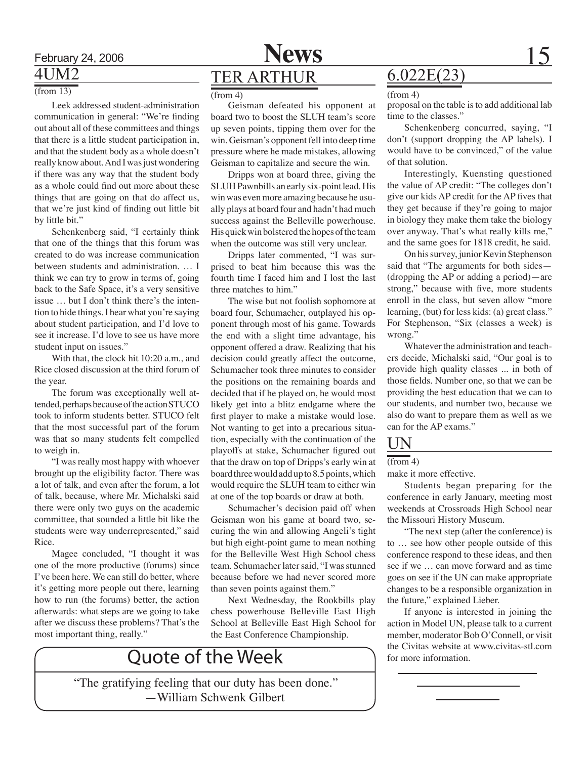

### 4UM2

 $\sqrt{\frac{2(100 \text{ m})^3}{(100 \text{ m})^4}}$ 

Leek addressed student-administration communication in general: "We're finding out about all of these committees and things that there is a little student participation in, and that the student body as a whole doesn't really know about. And I was just wondering if there was any way that the student body as a whole could find out more about these things that are going on that do affect us, that we're just kind of finding out little bit by little bit."

Schenkenberg said, "I certainly think that one of the things that this forum was created to do was increase communication between students and administration. … I think we can try to grow in terms of, going back to the Safe Space, it's a very sensitive issue … but I don't think there's the intention to hide things. I hear what you're saying about student participation, and I'd love to see it increase. I'd love to see us have more student input on issues."

With that, the clock hit 10:20 a.m., and Rice closed discussion at the third forum of the year.

The forum was exceptionally well attended, perhaps because of the action STUCO took to inform students better. STUCO felt that the most successful part of the forum was that so many students felt compelled to weigh in.

"I was really most happy with whoever brought up the eligibility factor. There was a lot of talk, and even after the forum, a lot of talk, because, where Mr. Michalski said there were only two guys on the academic committee, that sounded a little bit like the students were way underrepresented," said Rice.

Magee concluded, "I thought it was one of the more productive (forums) since I've been here. We can still do better, where it's getting more people out there, learning how to run (the forums) better, the action afterwards: what steps are we going to take after we discuss these problems? That's the most important thing, really."

### TER ARTHUR

Geisman defeated his opponent at board two to boost the SLUH team's score up seven points, tipping them over for the win. Geisman's opponent fell into deep time pressure where he made mistakes, allowing Geisman to capitalize and secure the win.

Dripps won at board three, giving the SLUH Pawnbills an early six-point lead. His win was even more amazing because he usually plays at board four and hadn't had much success against the Belleville powerhouse. His quick win bolstered the hopes of the team when the outcome was still very unclear.

Dripps later commented, "I was surprised to beat him because this was the fourth time I faced him and I lost the last three matches to him."

The wise but not foolish sophomore at board four, Schumacher, outplayed his opponent through most of his game. Towards the end with a slight time advantage, his opponent offered a draw. Realizing that his decision could greatly affect the outcome, Schumacher took three minutes to consider the positions on the remaining boards and decided that if he played on, he would most likely get into a blitz endgame where the first player to make a mistake would lose. Not wanting to get into a precarious situation, especially with the continuation of the playoffs at stake, Schumacher figured out that the draw on top of Dripps's early win at board three would add up to 8.5 points, which would require the SLUH team to either win at one of the top boards or draw at both.

Schumacher's decision paid off when Geisman won his game at board two, securing the win and allowing Angeli's tight but high eight-point game to mean nothing for the Belleville West High School chess team. Schumacher later said, "I was stunned because before we had never scored more than seven points against them."

Next Wednesday, the Rookbills play chess powerhouse Belleville East High School at Belleville East High School for the East Conference Championship.

### Quote of the Week

"The gratifying feeling that our duty has been done." —William Schwenk Gilbert

### 6.022E(23)

#### (from 4)

proposal on the table is to add additional lab time to the classes."

Schenkenberg concurred, saying, "I don't (support dropping the AP labels). I would have to be convinced," of the value of that solution.

Interestingly, Kuensting questioned the value of AP credit: "The colleges don't give our kids AP credit for the AP fives that they get because if they're going to major in biology they make them take the biology over anyway. That's what really kills me," and the same goes for 1818 credit, he said.

On his survey, junior Kevin Stephenson said that "The arguments for both sides— (dropping the AP or adding a period)—are strong," because with five, more students enroll in the class, but seven allow "more learning, (but) for less kids: (a) great class." For Stephenson, "Six (classes a week) is wrong."

Whatever the administration and teachers decide, Michalski said, "Our goal is to provide high quality classes ... in both of those fields. Number one, so that we can be providing the best education that we can to our students, and number two, because we also do want to prepare them as well as we can for the AP exams."

### UN

#### $(from 4)$

make it more effective.

Students began preparing for the conference in early January, meeting most weekends at Crossroads High School near the Missouri History Museum.

"The next step (after the conference) is to … see how other people outside of this conference respond to these ideas, and then see if we … can move forward and as time goes on see if the UN can make appropriate changes to be a responsible organization in the future," explained Lieber.

If anyone is interested in joining the action in Model UN, please talk to a current member, moderator Bob O'Connell, or visit the Civitas website at www.civitas-stl.com for more information.